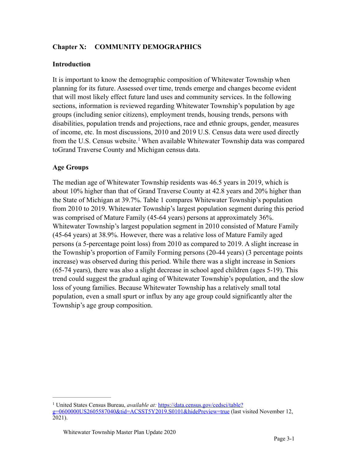# **Chapter X: COMMUNITY DEMOGRAPHICS**

## **Introduction**

It is important to know the demographic composition of Whitewater Township when planning for its future. Assessed over time, trends emerge and changes become evident that will most likely effect future land uses and community services. In the following sections, information is reviewed regarding Whitewater Township's population by age groups (including senior citizens), employment trends, housing trends, persons with disabilities, population trends and projections, race and ethnic groups, gender, measures of income, etc. In most discussions, 2010 and 2019 U.S. Census data were used directly fromthe U.S. Census website.<sup>[1](#page-0-0)</sup> When available Whitewater Township data was compared toGrand Traverse County and Michigan census data.

# <span id="page-0-1"></span>**Age Groups**

The median age of Whitewater Township residents was 46.5 years in 2019, which is about 10% higher than that of Grand Traverse County at 42.8 years and 20% higher than the State of Michigan at 39.7%. Table 1 compares Whitewater Township's population from 2010 to 2019. Whitewater Township's largest population segment during this period was comprised of Mature Family (45-64 years) persons at approximately 36%. Whitewater Township's largest population segment in 2010 consisted of Mature Family (45-64 years) at 38.9%. However, there was a relative loss of Mature Family aged persons (a 5-percentage point loss) from 2010 as compared to 2019. A slight increase in the Township's proportion of Family Forming persons (20-44 years) (3 percentage points increase) was observed during this period. While there was a slight increase in Seniors (65-74 years), there was also a slight decrease in school aged children (ages 5-19). This trend could suggest the gradual aging of Whitewater Township's population, and the slow loss of young families. Because Whitewater Township has a relatively small total population, even a small spurt or influx by any age group could significantly alter the Township's age group composition.

<span id="page-0-0"></span><sup>&</sup>lt;sup>[1](#page-0-1)</sup> United States Census Bureau, *available at:* https://data.census.gov/cedsci/table? [g=0600000US2605587040&tid=ACSST5Y2019.S0101&hidePreview=true \(last v](https://data.census.gov/cedsci/table?g=0600000US2605587040&tid=ACSST5Y2019.S0101&hidePreview=true)isited November 12,  $2021$ ).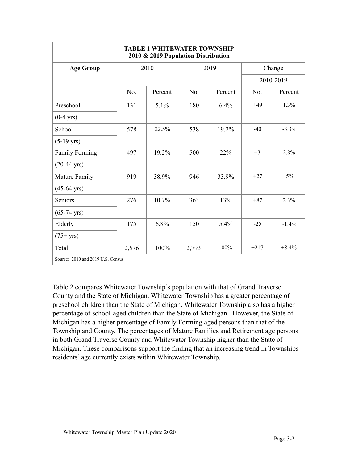| <b>TABLE 1 WHITEWATER TOWNSHIP</b><br>2010 & 2019 Population Distribution |       |         |       |         |           |          |  |
|---------------------------------------------------------------------------|-------|---------|-------|---------|-----------|----------|--|
| <b>Age Group</b>                                                          |       | 2010    |       | 2019    | Change    |          |  |
|                                                                           |       |         |       |         | 2010-2019 |          |  |
|                                                                           | No.   | Percent | No.   | Percent | No.       | Percent  |  |
| Preschool                                                                 | 131   | 5.1%    | 180   | 6.4%    | $+49$     | 1.3%     |  |
| $(0-4$ yrs)                                                               |       |         |       |         |           |          |  |
| School                                                                    | 578   | 22.5%   | 538   | 19.2%   | $-40$     | $-3.3\%$ |  |
| $(5-19 \text{ yrs})$                                                      |       |         |       |         |           |          |  |
| <b>Family Forming</b>                                                     | 497   | 19.2%   | 500   | 22%     | $+3$      | 2.8%     |  |
| $(20-44 \text{ yrs})$                                                     |       |         |       |         |           |          |  |
| Mature Family                                                             | 919   | 38.9%   | 946   | 33.9%   | $+27$     | $-5\%$   |  |
| $(45-64 \text{ yrs})$                                                     |       |         |       |         |           |          |  |
| Seniors                                                                   | 276   | 10.7%   | 363   | 13%     | $+87$     | 2.3%     |  |
| $(65-74 \text{ yrs})$                                                     |       |         |       |         |           |          |  |
| Elderly                                                                   | 175   | 6.8%    | 150   | 5.4%    | $-25$     | $-1.4\%$ |  |
| $(75 + yrs)$                                                              |       |         |       |         |           |          |  |
| Total                                                                     | 2,576 | 100%    | 2,793 | 100%    | $+217$    | $+8.4%$  |  |
| Source: 2010 and 2019 U.S. Census                                         |       |         |       |         |           |          |  |

Table 2 compares Whitewater Township's population with that of Grand Traverse County and the State of Michigan. Whitewater Township has a greater percentage of preschool children than the State of Michigan. Whitewater Township also has a higher percentage of school-aged children than the State of Michigan. However, the State of Michigan has a higher percentage of Family Forming aged persons than that of the Township and County. The percentages of Mature Families and Retirement age persons in both Grand Traverse County and Whitewater Township higher than the State of Michigan. These comparisons support the finding that an increasing trend in Townships residents' age currently exists within Whitewater Township.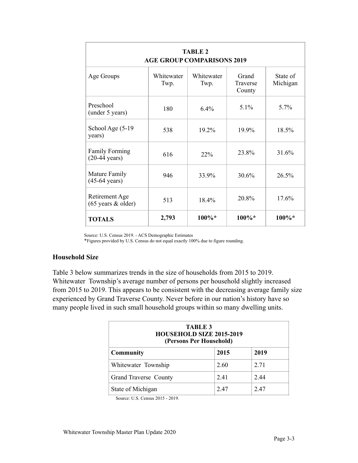| <b>TABLE 2</b><br><b>AGE GROUP COMPARISONS 2019</b>      |                    |                    |                             |                      |  |  |  |
|----------------------------------------------------------|--------------------|--------------------|-----------------------------|----------------------|--|--|--|
| Age Groups                                               | Whitewater<br>Twp. | Whitewater<br>Twp. | Grand<br>Traverse<br>County | State of<br>Michigan |  |  |  |
| Preschool<br>(under 5 years)                             | 180                | 64%                | $51\%$                      | 5.7%                 |  |  |  |
| School Age (5-19)<br>years)                              | 538                | 19.2%              | 19.9%                       | 18.5%                |  |  |  |
| <b>Family Forming</b><br>$(20-44 \text{ years})$         | 616                | 22%                | 23.8%                       | 31.6%                |  |  |  |
| Mature Family<br>$(45-64 \text{ years})$                 | 946                | 33.9%              | 30.6%                       | 26.5%                |  |  |  |
| Retirement Age<br>$(65 \text{ years } \& \text{ older})$ | 513                | 18.4%              | 20.8%                       | 17.6%                |  |  |  |
| <b>TOTALS</b>                                            | 2,793              | $100\%*$           | $100\%*$                    | $100\%*$             |  |  |  |

Source: U.S. Census 2019. - ACS Demographic Estimates

\*Figures provided by U.S. Census do not equal exactly 100% due to figure rounding.

#### **Household Size**

Table 3 below summarizes trends in the size of households from 2015 to 2019. Whitewater Township's average number of persons per household slightly increased from 2015 to 2019. This appears to be consistent with the decreasing average family size experienced by Grand Traverse County. Never before in our nation's history have so many people lived in such small household groups within so many dwelling units.

| TABLE 3<br><b>HOUSEHOLD SIZE 2015-2019</b><br>(Persons Per Household) |      |      |  |  |  |
|-----------------------------------------------------------------------|------|------|--|--|--|
| <b>Community</b>                                                      | 2015 | 2019 |  |  |  |
| Whitewater Township                                                   | 2.60 | 2.71 |  |  |  |
| Grand Traverse County                                                 | 241  | 2.44 |  |  |  |
| State of Michigan                                                     | 247  | 247  |  |  |  |

Source: U.S. Census 2015 - 2019.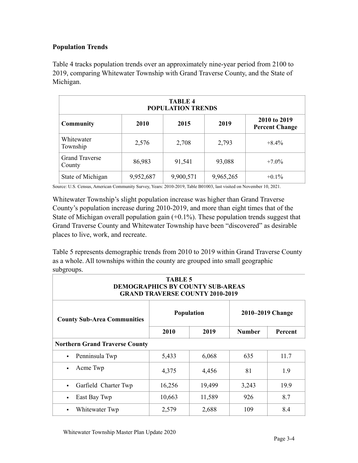# **Population Trends**

Table 4 tracks population trends over an approximately nine-year period from 2100 to 2019, comparing Whitewater Township with Grand Traverse County, and the State of Michigan.

| <b>TABLE 4</b><br><b>POPULATION TRENDS</b> |           |           |           |                                       |  |  |  |
|--------------------------------------------|-----------|-----------|-----------|---------------------------------------|--|--|--|
| <b>Community</b>                           | 2010      | 2015      | 2019      | 2010 to 2019<br><b>Percent Change</b> |  |  |  |
| Whitewater<br>Township                     | 2,576     | 2,708     | 2,793     | $+8.4\%$                              |  |  |  |
| <b>Grand Traverse</b><br>County            | 86,983    | 91,541    | 93,088    | $+7.0\%$                              |  |  |  |
| State of Michigan                          | 9,952,687 | 9,900,571 | 9,965,265 | $+0.1\%$                              |  |  |  |

Source: U.S. Census, American Community Survey, Years: 2010-2019, Table B01003, last visited on November 10, 2021.

Whitewater Township's slight population increase was higher than Grand Traverse County's population increase during 2010-2019, and more than eight times that of the State of Michigan overall population gain  $(+0.1\%)$ . These population trends suggest that Grand Traverse County and Whitewater Township have been "discovered" as desirable places to live, work, and recreate.

Table 5 represents demographic trends from 2010 to 2019 within Grand Traverse County as a whole. All townships within the county are grouped into small geographic subgroups.

| <b>TABLE 5</b><br><b>DEMOGRAPHICS BY COUNTY SUB-AREAS</b><br><b>GRAND TRAVERSE COUNTY 2010-2019</b> |        |                   |                  |                |  |  |  |
|-----------------------------------------------------------------------------------------------------|--------|-------------------|------------------|----------------|--|--|--|
| <b>County Sub-Area Communities</b>                                                                  |        | <b>Population</b> | 2010–2019 Change |                |  |  |  |
|                                                                                                     | 2010   | 2019              | <b>Number</b>    | <b>Percent</b> |  |  |  |
| <b>Northern Grand Traverse County</b>                                                               |        |                   |                  |                |  |  |  |
| Penninsula Twp<br>$\blacksquare$                                                                    | 5,433  | 6,068             | 635              | 11.7           |  |  |  |
| Acme Twp<br>$\blacksquare$                                                                          | 4,375  | 4,456             | 81               | 1.9            |  |  |  |
| Garfield Charter Twp<br>$\blacksquare$                                                              | 16,256 | 19,499            | 3,243            | 19.9           |  |  |  |
| East Bay Twp<br>$\blacksquare$                                                                      | 10,663 | 11,589            | 926              | 8.7            |  |  |  |
| Whitewater Twp                                                                                      | 2,579  | 2,688             | 109              | 8.4            |  |  |  |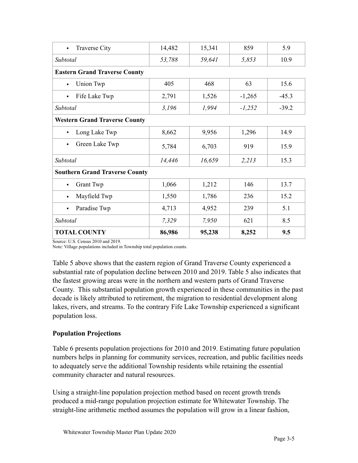| <b>Traverse City</b><br>$\blacksquare$ | 14,482 | 15,341 | 859      | 5.9     |
|----------------------------------------|--------|--------|----------|---------|
| Subtotal                               | 53,788 | 59,641 | 5,853    | 10.9    |
| <b>Eastern Grand Traverse County</b>   |        |        |          |         |
| <b>Union Twp</b><br>$\blacksquare$     | 405    | 468    | 63       | 15.6    |
| Fife Lake Twp<br>$\blacksquare$        | 2,791  | 1,526  | $-1,265$ | $-45.3$ |
| Subtotal                               | 3,196  | 1,994  | $-1,252$ | $-39.2$ |
| <b>Western Grand Traverse County</b>   |        |        |          |         |
| Long Lake Twp<br>$\blacksquare$        | 8,662  | 9,956  | 1,296    | 14.9    |
| Green Lake Twp<br>$\blacksquare$       | 5,784  | 6,703  | 919      | 15.9    |
| Subtotal                               | 14,446 | 16,659 | 2,213    | 15.3    |
| <b>Southern Grand Traverse County</b>  |        |        |          |         |
| <b>Grant Twp</b><br>$\blacksquare$     | 1,066  | 1,212  | 146      | 13.7    |
| Mayfield Twp<br>$\blacksquare$         | 1,550  | 1,786  | 236      | 15.2    |
| Paradise Twp<br>$\blacksquare$         | 4,713  | 4,952  | 239      | 5.1     |
| Subtotal                               | 7,329  | 7,950  | 621      | 8.5     |
| <b>TOTAL COUNTY</b>                    | 86,986 | 95,238 | 8,252    | 9.5     |

Source: U.S. Census 2010 and 2019.

Note: Village populations included in Township total population counts.

Table 5 above shows that the eastern region of Grand Traverse County experienced a substantial rate of population decline between 2010 and 2019. Table 5 also indicates that the fastest growing areas were in the northern and western parts of Grand Traverse County. This substantial population growth experienced in these communities in the past decade is likely attributed to retirement, the migration to residential development along lakes, rivers, and streams. To the contrary Fife Lake Township experienced a significant population loss.

### **Population Projections**

Table 6 presents population projections for 2010 and 2019. Estimating future population numbers helps in planning for community services, recreation, and public facilities needs to adequately serve the additional Township residents while retaining the essential community character and natural resources.

Using a straight-line population projection method based on recent growth trends produced a mid-range population projection estimate for Whitewater Township. The straight-line arithmetic method assumes the population will grow in a linear fashion,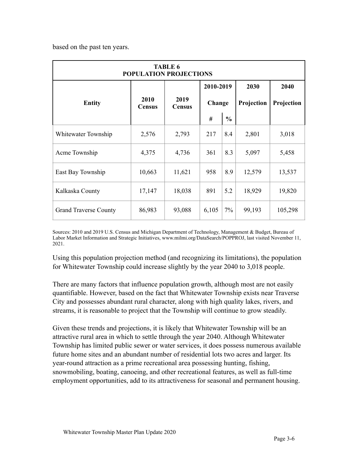based on the past ten years.

| <b>TABLE 6</b><br>POPULATION PROJECTIONS |                       |                       |                   |               |            |            |  |  |
|------------------------------------------|-----------------------|-----------------------|-------------------|---------------|------------|------------|--|--|
|                                          |                       |                       | 2010-2019<br>2030 |               | 2040       |            |  |  |
| <b>Entity</b>                            | 2010<br><b>Census</b> | 2019<br><b>Census</b> | Change            |               | Projection | Projection |  |  |
|                                          |                       |                       | #                 | $\frac{0}{0}$ |            |            |  |  |
| Whitewater Township                      | 2,576                 | 2,793                 | 217               | 8.4           | 2,801      | 3,018      |  |  |
| Acme Township                            | 4,375                 | 4,736                 | 361               | 8.3           | 5,097      | 5,458      |  |  |
| East Bay Township                        | 10,663                | 11,621                | 958               | 8.9           | 12,579     | 13,537     |  |  |
| Kalkaska County                          | 17,147                | 18,038                | 891               | 5.2           | 18,929     | 19,820     |  |  |
| <b>Grand Traverse County</b>             | 86,983                | 93,088                | 6,105             | 7%            | 99,193     | 105,298    |  |  |

Sources: 2010 and 2019 U.S. Census and Michigan Department of Technology, Management & Budget, Bureau of Labor Market Information and Strategic Initiatives, www.milmi.org/DataSearch/POPPROJ, last visited November 11, 2021.

Using this population projection method (and recognizing its limitations), the population for Whitewater Township could increase slightly by the year 2040 to 3,018 people.

There are many factors that influence population growth, although most are not easily quantifiable. However, based on the fact that Whitewater Township exists near Traverse City and possesses abundant rural character, along with high quality lakes, rivers, and streams, it is reasonable to project that the Township will continue to grow steadily.

Given these trends and projections, it is likely that Whitewater Township will be an attractive rural area in which to settle through the year 2040. Although Whitewater Township has limited public sewer or water services, it does possess numerous available future home sites and an abundant number of residential lots two acres and larger. Its year-round attraction as a prime recreational area possessing hunting, fishing, snowmobiling, boating, canoeing, and other recreational features, as well as full-time employment opportunities, add to its attractiveness for seasonal and permanent housing.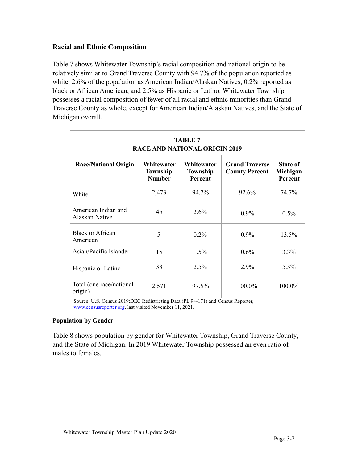#### **Racial and Ethnic Composition**

Table 7 shows Whitewater Township's racial composition and national origin to be relatively similar to Grand Traverse County with 94.7% of the population reported as white, 2.6% of the population as American Indian/Alaskan Natives, 0.2% reported as black or African American, and 2.5% as Hispanic or Latino. Whitewater Township possesses a racial composition of fewer of all racial and ethnic minorities than Grand Traverse County as whole, except for American Indian/Alaskan Natives, and the State of Michigan overall.

| <b>TABLE 7</b><br><b>RACE AND NATIONAL ORIGIN 2019</b> |                                         |                                          |                                                |                                 |  |  |  |
|--------------------------------------------------------|-----------------------------------------|------------------------------------------|------------------------------------------------|---------------------------------|--|--|--|
| <b>Race/National Origin</b>                            | Whitewater<br>Township<br><b>Number</b> | Whitewater<br><b>Township</b><br>Percent | <b>Grand Traverse</b><br><b>County Percent</b> | State of<br>Michigan<br>Percent |  |  |  |
| White                                                  | 2,473                                   | 94.7%                                    | 92.6%                                          | 74.7%                           |  |  |  |
| American Indian and<br>Alaskan Native                  | 45                                      | 2.6%                                     | $0.9\%$                                        | 0.5%                            |  |  |  |
| <b>Black or African</b><br>American                    | 5                                       | $0.2\%$                                  | $0.9\%$                                        | 13.5%                           |  |  |  |
| Asian/Pacific Islander                                 | 15                                      | $1.5\%$                                  | $0.6\%$                                        | 3.3%                            |  |  |  |
| Hispanic or Latino                                     | 33                                      | 2.5%                                     | 2.9%                                           | 5.3%                            |  |  |  |
| Total (one race/national)<br>origin)                   | 2,571                                   | 97.5%                                    | 100.0%                                         | 100.0%                          |  |  |  |

Source: U.S. Census 2019:DEC Redistricting Data (PL 94-171) and Census Reporter, [www.censusreporter.org](http://www.censusreporter.org), last visited November 11, 2021.

#### **Population by Gender**

Table 8 shows population by gender for Whitewater Township, Grand Traverse County, and the State of Michigan. In 2019 Whitewater Township possessed an even ratio of males to females.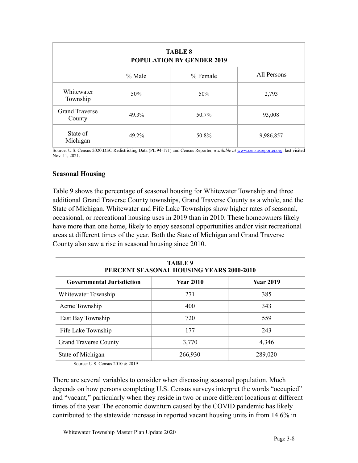| <b>TABLE 8</b><br><b>POPULATION BY GENDER 2019</b> |                                   |       |           |  |  |  |  |
|----------------------------------------------------|-----------------------------------|-------|-----------|--|--|--|--|
|                                                    | All Persons<br>% Male<br>% Female |       |           |  |  |  |  |
| Whitewater<br>Township                             | 50%                               | 50%   | 2,793     |  |  |  |  |
| <b>Grand Traverse</b><br>County                    | 49.3%                             | 50.7% | 93,008    |  |  |  |  |
| State of<br>Michigan                               | 49.2%                             | 50.8% | 9,986,857 |  |  |  |  |

Source: U.S. Census 2020:DEC Redistricting Data (PL 94-171) and Census Reporter, *available at* [www.censusreporter.org](http://www.censusreporter.org), last visited Nov. 11, 2021.

### **Seasonal Housing**

Table 9 shows the percentage of seasonal housing for Whitewater Township and three additional Grand Traverse County townships, Grand Traverse County as a whole, and the State of Michigan. Whitewater and Fife Lake Townships show higher rates of seasonal, occasional, or recreational housing uses in 2019 than in 2010. These homeowners likely have more than one home, likely to enjoy seasonal opportunities and/or visit recreational areas at different times of the year. Both the State of Michigan and Grand Traverse County also saw a rise in seasonal housing since 2010.

| <b>TABLE 9</b><br>PERCENT SEASONAL HOUSING YEARS 2000-2010 |                  |                  |  |  |  |  |
|------------------------------------------------------------|------------------|------------------|--|--|--|--|
| <b>Governmental Jurisdiction</b>                           | <b>Year 2010</b> | <b>Year 2019</b> |  |  |  |  |
| Whitewater Township                                        | 271              | 385              |  |  |  |  |
| Acme Township                                              | 400              | 343              |  |  |  |  |
| East Bay Township                                          | 720              | 559              |  |  |  |  |
| Fife Lake Township                                         | 177              | 243              |  |  |  |  |
| <b>Grand Traverse County</b>                               | 3,770            | 4,346            |  |  |  |  |
| State of Michigan                                          | 266,930          | 289,020          |  |  |  |  |

Source: U.S. Census 2010 & 2019

There are several variables to consider when discussing seasonal population. Much depends on how persons completing U.S. Census surveys interpret the words "occupied" and "vacant," particularly when they reside in two or more different locations at different times of the year. The economic downturn caused by the COVID pandemic has likely contributed to the statewide increase in reported vacant housing units in from 14.6% in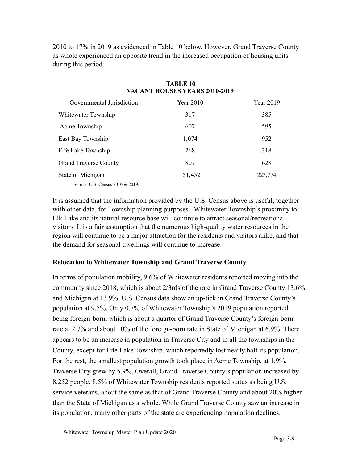2010 to 17% in 2019 as evidenced in Table 10 below. However, Grand Traverse County as whole experienced an opposite trend in the increased occupation of housing units during this period.

| <b>TABLE 10</b><br>VACANT HOUSES YEARS 2010-2019 |           |           |  |  |  |  |
|--------------------------------------------------|-----------|-----------|--|--|--|--|
| Governmental Jurisdiction                        | Year 2010 | Year 2019 |  |  |  |  |
| Whitewater Township                              | 317       | 385       |  |  |  |  |
| Acme Township                                    | 607       | 595       |  |  |  |  |
| East Bay Township                                | 1,074     | 952       |  |  |  |  |
| Fife Lake Township                               | 268       | 318       |  |  |  |  |
| <b>Grand Traverse County</b>                     | 807       | 628       |  |  |  |  |
| State of Michigan                                | 151,452   | 223,774   |  |  |  |  |

Source: U.S. Census 2010 & 2019.

It is assumed that the information provided by the U.S. Census above is useful, together with other data, for Township planning purposes. Whitewater Township's proximity to Elk Lake and its natural resource base will continue to attract seasonal/recreational visitors. It is a fair assumption that the numerous high-quality water resources in the region will continue to be a major attraction for the residents and visitors alike, and that the demand for seasonal dwellings will continue to increase.

### **Relocation to Whitewater Township and Grand Traverse County**

In terms of population mobility, 9.6% of Whitewater residents reported moving into the community since 2018, which is about 2/3rds of the rate in Grand Traverse County 13.6% and Michigan at 13.9%. U.S. Census data show an up-tick in Grand Traverse County's population at 9.5%. Only 0.7% of Whitewater Township's 2019 population reported being foreign-born, which is about a quarter of Grand Traverse County's foreign-born rate at 2.7% and about 10% of the foreign-born rate in State of Michigan at 6.9%. There appears to be an increase in population in Traverse City and in all the townships in the County, except for Fife Lake Township, which reportedly lost nearly half its population. For the rest, the smallest population growth took place in Acme Township, at 1.9%. Traverse City grew by 5.9%. Overall, Grand Traverse County's population increased by 8,252 people. 8.5% of Whitewater Township residents reported status as being U.S. service veterans, about the same as that of Grand Traverse County and about 20% higher than the State of Michigan as a whole. While Grand Traverse County saw an increase in its population, many other parts of the state are experiencing population declines.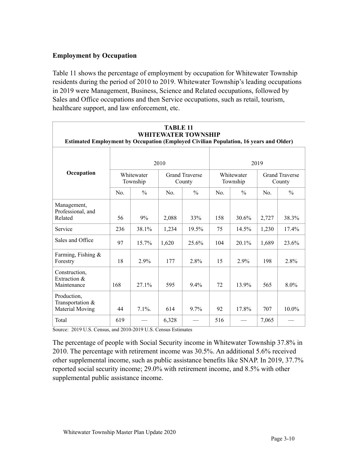# **Employment by Occupation**

Table 11 shows the percentage of employment by occupation for Whitewater Township residents during the period of 2010 to 2019. Whitewater Township's leading occupations in 2019 were Management, Business, Science and Related occupations, followed by Sales and Office occupations and then Service occupations, such as retail, tourism, healthcare support, and law enforcement, etc.

| <b>TABLE 11</b><br><b>WHITEWATER TOWNSHIP</b><br><b>Estimated Employment by Occupation (Employed Civilian Population, 16 years and Older)</b> |     |                        |       |                                 |                        |               |                                 |               |  |
|-----------------------------------------------------------------------------------------------------------------------------------------------|-----|------------------------|-------|---------------------------------|------------------------|---------------|---------------------------------|---------------|--|
|                                                                                                                                               |     |                        | 2010  |                                 |                        | 2019          |                                 |               |  |
| Occupation                                                                                                                                    |     | Whitewater<br>Township |       | <b>Grand Traverse</b><br>County | Whitewater<br>Township |               | <b>Grand Traverse</b><br>County |               |  |
|                                                                                                                                               | No. | $\frac{0}{0}$          | No.   | $\frac{0}{0}$                   | No.                    | $\frac{0}{0}$ | No.                             | $\frac{0}{0}$ |  |
| Management,<br>Professional, and<br>Related                                                                                                   | 56  | 9%                     | 2,088 | 33%                             | 158                    | 30.6%         | 2,727                           | 38.3%         |  |
| Service                                                                                                                                       | 236 | 38.1%                  | 1,234 | 19.5%                           | 75                     | 14.5%         | 1,230                           | 17.4%         |  |
| Sales and Office                                                                                                                              | 97  | 15.7%                  | 1,620 | 25.6%                           | 104                    | 20.1%         | 1,689                           | 23.6%         |  |
| Farming, Fishing $\&$<br>Forestry                                                                                                             | 18  | 2.9%                   | 177   | 2.8%                            | 15                     | 2.9%          | 198                             | 2.8%          |  |
| Construction,<br>Extraction &<br>Maintenance                                                                                                  | 168 | 27.1%                  | 595   | $9.4\%$                         | 72                     | 13.9%         | 565                             | 8.0%          |  |
| Production,<br>Transportation &<br>Material Moving                                                                                            | 44  | $7.1\%$                | 614   | $9.7\%$                         | 92                     | 17.8%         | 707                             | $10.0\%$      |  |
| Total                                                                                                                                         | 619 |                        | 6,328 |                                 | 516                    |               | 7,065                           |               |  |

Source: 2019 U.S. Census, and 2010-2019 U.S. Census Estimates

The percentage of people with Social Security income in Whitewater Township 37.8% in 2010. The percentage with retirement income was 30.5%. An additional 5.6% received other supplemental income, such as public assistance benefits like SNAP. In 2019, 37.7% reported social security income; 29.0% with retirement income, and 8.5% with other supplemental public assistance income.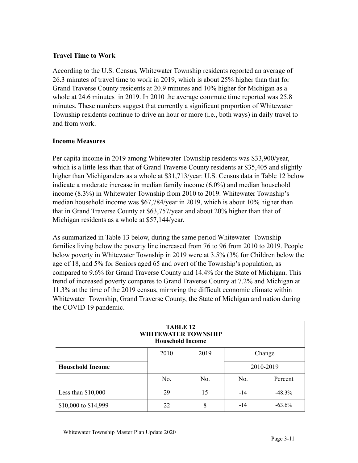# **Travel Time to Work**

According to the U.S. Census, Whitewater Township residents reported an average of 26.3 minutes of travel time to work in 2019, which is about 25% higher than that for Grand Traverse County residents at 20.9 minutes and 10% higher for Michigan as a whole at 24.6 minutes in 2019. In 2010 the average commute time reported was 25.8 minutes. These numbers suggest that currently a significant proportion of Whitewater Township residents continue to drive an hour or more (i.e., both ways) in daily travel to and from work.

# **Income Measures**

Per capita income in 2019 among Whitewater Township residents was \$33,900/year, which is a little less than that of Grand Traverse County residents at \$35,405 and slightly higher than Michiganders as a whole at \$31,713/year. U.S. Census data in Table 12 below indicate a moderate increase in median family income (6.0%) and median household income (8.3%) in Whitewater Township from 2010 to 2019. Whitewater Township's median household income was \$67,784/year in 2019, which is about 10% higher than that in Grand Traverse County at \$63,757/year and about 20% higher than that of Michigan residents as a whole at \$57,144/year.

As summarized in Table 13 below, during the same period Whitewater Township families living below the poverty line increased from 76 to 96 from 2010 to 2019. People below poverty in Whitewater Township in 2019 were at 3.5% (3% for Children below the age of 18, and 5% for Seniors aged 65 and over) of the Township's population, as compared to 9.6% for Grand Traverse County and 14.4% for the State of Michigan. This trend of increased poverty compares to Grand Traverse County at 7.2% and Michigan at 11.3% at the time of the 2019 census, mirroring the difficult economic climate within Whitewater Township, Grand Traverse County, the State of Michigan and nation during the COVID 19 pandemic.

| <b>TABLE 12</b><br><b>WHITEWATER TOWNSHIP</b><br><b>Household Income</b> |      |      |       |           |
|--------------------------------------------------------------------------|------|------|-------|-----------|
|                                                                          | 2010 | 2019 |       | Change    |
| <b>Household Income</b>                                                  |      |      |       | 2010-2019 |
|                                                                          | No.  | No.  | No.   | Percent   |
| Less than $$10,000$                                                      | 29   | 15   | $-14$ | $-48.3%$  |
| \$10,000 to \$14,999                                                     | 22   | 8    | $-14$ | $-63.6%$  |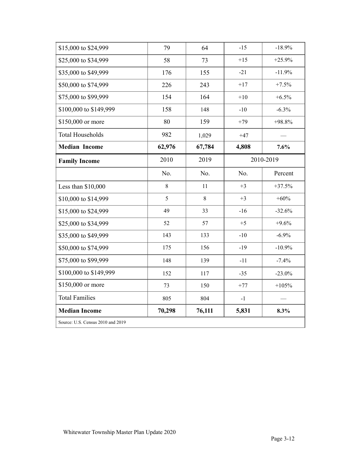| 79      | 64     | $-15$ | $-18.9%$  |
|---------|--------|-------|-----------|
| 58      | 73     | $+15$ | $+25.9%$  |
| 176     | 155    | $-21$ | $-11.9%$  |
| 226     | 243    | $+17$ | $+7.5%$   |
| 154     | 164    | $+10$ | $+6.5\%$  |
| 158     | 148    | $-10$ | $-6.3%$   |
| 80      | 159    | $+79$ | $+98.8%$  |
| 982     | 1,029  | $+47$ |           |
| 62,976  | 67,784 | 4,808 | 7.6%      |
| 2010    | 2019   |       | 2010-2019 |
| No.     | No.    | No.   | Percent   |
| $\,8\,$ | 11     | $+3$  | $+37.5%$  |
| 5       | 8      | $+3$  | $+60%$    |
| 49      | 33     | $-16$ | $-32.6%$  |
| 52      | 57     | $+5$  | $+9.6%$   |
| 143     | 133    | $-10$ | $-6.9%$   |
| 175     | 156    | $-19$ | $-10.9%$  |
|         |        |       |           |
| 148     | 139    | $-11$ | $-7.4%$   |
| 152     | 117    | $-35$ | $-23.0\%$ |
| 73      | 150    | $+77$ | $+105%$   |
| 805     | 804    | $-1$  |           |
| 70,298  | 76,111 | 5,831 | 8.3%      |
|         |        |       |           |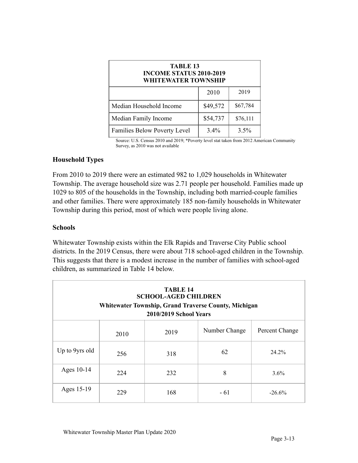| <b>TABLE 13</b><br><b>INCOME STATUS 2010-2019</b><br><b>WHITEWATER TOWNSHIP</b> |          |          |  |
|---------------------------------------------------------------------------------|----------|----------|--|
|                                                                                 | 2010     | 2019     |  |
| Median Household Income                                                         | \$49,572 | \$67,784 |  |
| Median Family Income                                                            | \$54,737 | \$76,111 |  |
| Families Below Poverty Level                                                    | $3.4\%$  | 3.5%     |  |

Source: U.S. Census 2010 and 2019; \*Poverty level stat taken from 2012 American Community Survey, as 2010 was not available

#### **Household Types**

From 2010 to 2019 there were an estimated 982 to 1,029 households in Whitewater Township. The average household size was 2.71 people per household. Families made up 1029 to 805 of the households in the Township, including both married-couple families and other families. There were approximately 185 non-family households in Whitewater Township during this period, most of which were people living alone.

#### **Schools**

Whitewater Township exists within the Elk Rapids and Traverse City Public school districts. In the 2019 Census, there were about 718 school-aged children in the Township. This suggests that there is a modest increase in the number of families with school-aged children, as summarized in Table 14 below.

| <b>TABLE 14</b><br><b>SCHOOL-AGED CHILDREN</b><br><b>Whitewater Township, Grand Traverse County, Michigan</b><br>2010/2019 School Years |      |      |               |                |
|-----------------------------------------------------------------------------------------------------------------------------------------|------|------|---------------|----------------|
|                                                                                                                                         | 2010 | 2019 | Number Change | Percent Change |
| Up to 9yrs old                                                                                                                          | 256  | 318  | 62            | 24.2%          |
| Ages 10-14                                                                                                                              | 224  | 232  | 8             | 3.6%           |
| Ages 15-19                                                                                                                              | 229  | 168  | $-61$         | $-26.6%$       |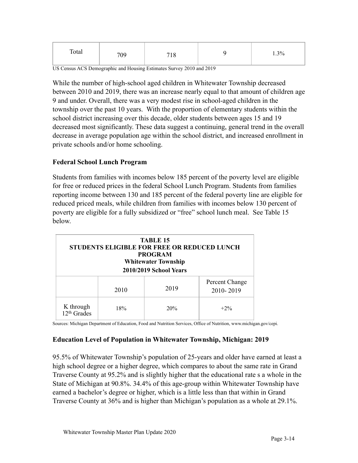| Total | 709 | 710<br>10 |  | 1.3% |
|-------|-----|-----------|--|------|
|-------|-----|-----------|--|------|

US Census ACS Demographic and Housing Estimates Survey 2010 and 2019

While the number of high-school aged children in Whitewater Township decreased between 2010 and 2019, there was an increase nearly equal to that amount of children age 9 and under. Overall, there was a very modest rise in school-aged children in the township over the past 10 years. With the proportion of elementary students within the school district increasing over this decade, older students between ages 15 and 19 decreased most significantly. These data suggest a continuing, general trend in the overall decrease in average population age within the school district, and increased enrollment in private schools and/or home schooling.

# **Federal School Lunch Program**

Students from families with incomes below 185 percent of the poverty level are eligible for free or reduced prices in the federal School Lunch Program. Students from families reporting income between 130 and 185 percent of the federal poverty line are eligible for reduced priced meals, while children from families with incomes below 130 percent of poverty are eligible for a fully subsidized or "free" school lunch meal. See Table 15 below.

| <b>TABLE 15</b><br><b>STUDENTS ELIGIBLE FOR FREE OR REDUCED LUNCH</b><br><b>PROGRAM</b><br><b>Whitewater Township</b><br>2010/2019 School Years |      |      |                             |
|-------------------------------------------------------------------------------------------------------------------------------------------------|------|------|-----------------------------|
|                                                                                                                                                 | 2010 | 2019 | Percent Change<br>2010-2019 |
| K through<br>$12th$ Grades                                                                                                                      | 18%  | 20%  | $+2\%$                      |

Sources: Michigan Department of Education, Food and Nutrition Services, Office of Nutrition, www.michigan.gov/cepi.

### **Education Level of Population in Whitewater Township, Michigan: 2019**

95.5% of Whitewater Township's population of 25-years and older have earned at least a high school degree or a higher degree, which compares to about the same rate in Grand Traverse County at 95.2% and is slightly higher that the educational rate s a whole in the State of Michigan at 90.8%. 34.4% of this age-group within Whitewater Township have earned a bachelor's degree or higher, which is a little less than that within in Grand Traverse County at 36% and is higher than Michigan's population as a whole at 29.1%.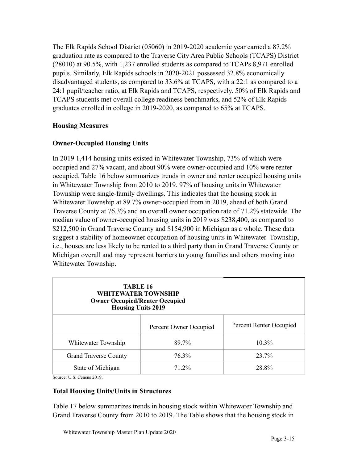The Elk Rapids School District (05060) in 2019-2020 academic year earned a 87.2% graduation rate as compared to the Traverse City Area Public Schools (TCAPS) District (28010) at 90.5%, with 1,237 enrolled students as compared to TCAPs 8,971 enrolled pupils. Similarly, Elk Rapids schools in 2020-2021 possessed 32.8% economically disadvantaged students, as compared to 33.6% at TCAPS, with a 22:1 as compared to a 24:1 pupil/teacher ratio, at Elk Rapids and TCAPS, respectively. 50% of Elk Rapids and TCAPS students met overall college readiness benchmarks, and 52% of Elk Rapids graduates enrolled in college in 2019-2020, as compared to 65% at TCAPS.

# **Housing Measures**

# **Owner-Occupied Housing Units**

In 2019 1,414 housing units existed in Whitewater Township, 73% of which were occupied and 27% vacant, and about 90% were owner-occupied and 10% were renter occupied. Table 16 below summarizes trends in owner and renter occupied housing units in Whitewater Township from 2010 to 2019. 97% of housing units in Whitewater Township were single-family dwellings. This indicates that the housing stock in Whitewater Township at 89.7% owner-occupied from in 2019, ahead of both Grand Traverse County at 76.3% and an overall owner occupation rate of 71.2% statewide. The median value of owner-occupied housing units in 2019 was \$238,400, as compared to \$212,500 in Grand Traverse County and \$154,900 in Michigan as a whole. These data suggest a stability of homeowner occupation of housing units in Whitewater Township, i.e., houses are less likely to be rented to a third party than in Grand Traverse County or Michigan overall and may represent barriers to young families and others moving into Whitewater Township.

| <b>TABLE 16</b><br><b>WHITEWATER TOWNSHIP</b><br><b>Owner Occupied/Renter Occupied</b><br><b>Housing Units 2019</b> |                        |                         |  |
|---------------------------------------------------------------------------------------------------------------------|------------------------|-------------------------|--|
|                                                                                                                     | Percent Owner Occupied | Percent Renter Occupied |  |
| Whitewater Township                                                                                                 | 89.7%                  | $10.3\%$                |  |
| <b>Grand Traverse County</b>                                                                                        | 76.3%                  | 23.7%                   |  |
| State of Michigan                                                                                                   | 71.2%                  | 28.8%                   |  |

Source: U.S. Census 2019.

#### **Total Housing Units/Units in Structures**

Table 17 below summarizes trends in housing stock within Whitewater Township and Grand Traverse County from 2010 to 2019. The Table shows that the housing stock in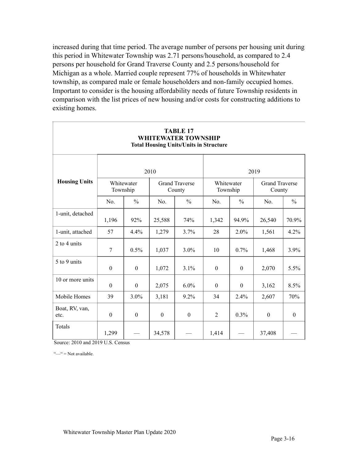increased during that time period. The average number of persons per housing unit during this period in Whitewater Township was 2.71 persons/household, as compared to 2.4 persons per household for Grand Traverse County and 2.5 persons/household for Michigan as a whole. Married couple represent 77% of households in Whitewhater township, as compared male or female householders and non-family occupied homes. Important to consider is the housing affordability needs of future Township residents in comparison with the list prices of new housing and/or costs for constructing additions to existing homes.

|                        |                  |                        |                  | <b>TABLE 17</b><br><b>WHITEWATER TOWNSHIP</b><br><b>Total Housing Units/Units in Structure</b> |                        |                  |                                 |                  |
|------------------------|------------------|------------------------|------------------|------------------------------------------------------------------------------------------------|------------------------|------------------|---------------------------------|------------------|
|                        |                  |                        | 2010             |                                                                                                |                        |                  | 2019                            |                  |
| <b>Housing Units</b>   |                  | Whitewater<br>Township |                  | <b>Grand Traverse</b><br>County                                                                | Whitewater<br>Township |                  | <b>Grand Traverse</b><br>County |                  |
|                        | No.              | $\frac{0}{0}$          | No.              | $\frac{0}{0}$                                                                                  | No.                    | $\frac{0}{0}$    | No.                             | $\frac{0}{0}$    |
| 1-unit, detached       | 1,196            | 92%                    | 25,588           | 74%                                                                                            | 1,342                  | 94.9%            | 26,540                          | 70.9%            |
| 1-unit, attached       | 57               | 4.4%                   | 1,279            | 3.7%                                                                                           | 28                     | 2.0%             | 1,561                           | 4.2%             |
| 2 to 4 units           | $\overline{7}$   | 0.5%                   | 1,037            | 3.0%                                                                                           | 10                     | 0.7%             | 1,468                           | 3.9%             |
| 5 to 9 units           | $\boldsymbol{0}$ | $\mathbf{0}$           | 1,072            | 3.1%                                                                                           | $\mathbf{0}$           | $\mathbf{0}$     | 2,070                           | 5.5%             |
| 10 or more units       | $\boldsymbol{0}$ | $\mathbf{0}$           | 2,075            | 6.0%                                                                                           | $\boldsymbol{0}$       | $\boldsymbol{0}$ | 3,162                           | 8.5%             |
| Mobile Homes           | 39               | 3.0%                   | 3,181            | 9.2%                                                                                           | 34                     | 2.4%             | 2,607                           | 70%              |
| Boat, RV, van,<br>etc. | $\boldsymbol{0}$ | $\theta$               | $\boldsymbol{0}$ | $\boldsymbol{0}$                                                                               | $\overline{2}$         | $0.3\%$          | $\boldsymbol{0}$                | $\boldsymbol{0}$ |
| Totals                 | 1,299            |                        | 34,578           |                                                                                                | 1,414                  |                  | 37,408                          |                  |

Source: 2010 and 2019 U.S. Census

" $-$ " = Not available.

Г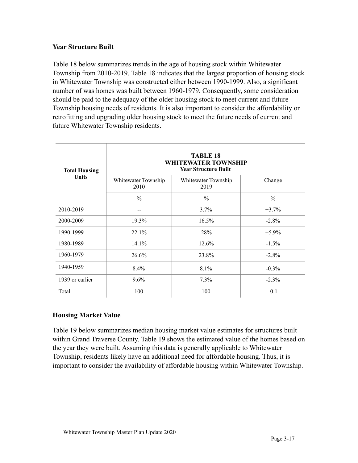## **Year Structure Built**

Table 18 below summarizes trends in the age of housing stock within Whitewater Township from 2010-2019. Table 18 indicates that the largest proportion of housing stock in Whitewater Township was constructed either between 1990-1999. Also, a significant number of was homes was built between 1960-1979. Consequently, some consideration should be paid to the adequacy of the older housing stock to meet current and future Township housing needs of residents. It is also important to consider the affordability or retrofitting and upgrading older housing stock to meet the future needs of current and future Whitewater Township residents.

| <b>Total Housing</b> | <b>TABLE 18</b><br><b>WHITEWATER TOWNSHIP</b><br><b>Year Structure Built</b> |               |          |  |  |
|----------------------|------------------------------------------------------------------------------|---------------|----------|--|--|
| <b>Units</b>         | Whitewater Township<br>Whitewater Township<br>2010<br>2019                   |               | Change   |  |  |
|                      | $\frac{0}{0}$                                                                | $\frac{0}{0}$ | $\%$     |  |  |
| 2010-2019            |                                                                              | 3.7%          | $+3.7%$  |  |  |
| 2000-2009            | 19.3%                                                                        | $16.5\%$      | $-2.8%$  |  |  |
| 1990-1999            | 22.1%                                                                        | 28%           | $+5.9\%$ |  |  |
| 1980-1989            | 14.1%                                                                        | 12.6%         | $-1.5%$  |  |  |
| 1960-1979            | 26.6%                                                                        | 23.8%         | $-2.8\%$ |  |  |
| 1940-1959            | 8.4%                                                                         | 8.1%          | $-0.3\%$ |  |  |
| 1939 or earlier      | 9.6%                                                                         | $7.3\%$       | $-2.3\%$ |  |  |
| Total                | 100                                                                          | 100           | $-0.1$   |  |  |

### **Housing Market Value**

Table 19 below summarizes median housing market value estimates for structures built within Grand Traverse County. Table 19 shows the estimated value of the homes based on the year they were built. Assuming this data is generally applicable to Whitewater Township, residents likely have an additional need for affordable housing. Thus, it is important to consider the availability of affordable housing within Whitewater Township.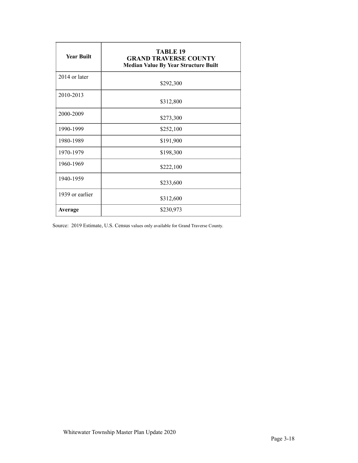| <b>Year Built</b> | <b>TABLE 19</b><br><b>GRAND TRAVERSE COUNTY</b><br><b>Median Value By Year Structure Built</b> |
|-------------------|------------------------------------------------------------------------------------------------|
| 2014 or later     | \$292,300                                                                                      |
| 2010-2013         | \$312,800                                                                                      |
| 2000-2009         | \$273,300                                                                                      |
| 1990-1999         | \$252,100                                                                                      |
| 1980-1989         | \$191,900                                                                                      |
| 1970-1979         | \$198,300                                                                                      |
| 1960-1969         | \$222,100                                                                                      |
| 1940-1959         | \$233,600                                                                                      |
| 1939 or earlier   | \$312,600                                                                                      |
| Average           | \$230,973                                                                                      |

Source: 2019 Estimate, U.S. Census values only available for Grand Traverse County.